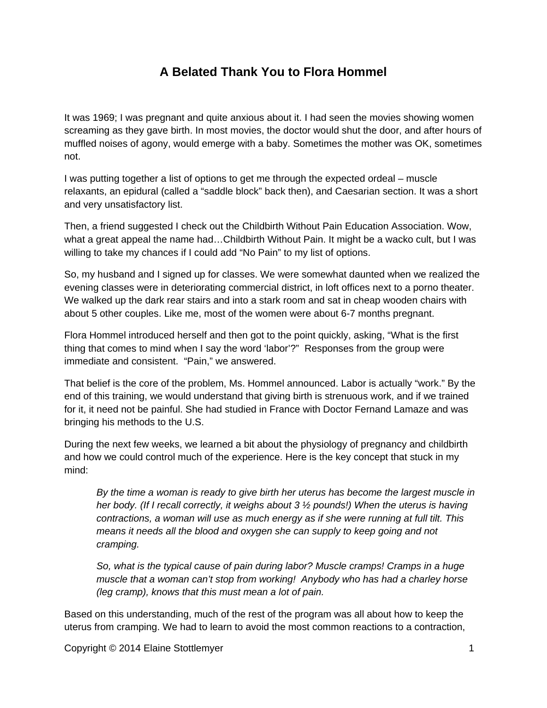## **A Belated Thank You to Flora Hommel**

It was 1969; I was pregnant and quite anxious about it. I had seen the movies showing women screaming as they gave birth. In most movies, the doctor would shut the door, and after hours of muffled noises of agony, would emerge with a baby. Sometimes the mother was OK, sometimes not.

I was putting together a list of options to get me through the expected ordeal – muscle relaxants, an epidural (called a "saddle block" back then), and Caesarian section. It was a short and very unsatisfactory list.

Then, a friend suggested I check out the Childbirth Without Pain Education Association. Wow, what a great appeal the name had…Childbirth Without Pain. It might be a wacko cult, but I was willing to take my chances if I could add "No Pain" to my list of options.

So, my husband and I signed up for classes. We were somewhat daunted when we realized the evening classes were in deteriorating commercial district, in loft offices next to a porno theater. We walked up the dark rear stairs and into a stark room and sat in cheap wooden chairs with about 5 other couples. Like me, most of the women were about 6-7 months pregnant.

Flora Hommel introduced herself and then got to the point quickly, asking, "What is the first thing that comes to mind when I say the word 'labor'?" Responses from the group were immediate and consistent. "Pain," we answered.

That belief is the core of the problem, Ms. Hommel announced. Labor is actually "work." By the end of this training, we would understand that giving birth is strenuous work, and if we trained for it, it need not be painful. She had studied in France with Doctor Fernand Lamaze and was bringing his methods to the U.S.

During the next few weeks, we learned a bit about the physiology of pregnancy and childbirth and how we could control much of the experience. Here is the key concept that stuck in my mind:

*By the time a woman is ready to give birth her uterus has become the largest muscle in her body. (If I recall correctly, it weighs about 3 ½ pounds!) When the uterus is having contractions, a woman will use as much energy as if she were running at full tilt. This means it needs all the blood and oxygen she can supply to keep going and not cramping.*

*So, what is the typical cause of pain during labor? Muscle cramps! Cramps in a huge muscle that a woman can't stop from working! Anybody who has had a charley horse (leg cramp), knows that this must mean a lot of pain.*

Based on this understanding, much of the rest of the program was all about how to keep the uterus from cramping. We had to learn to avoid the most common reactions to a contraction,

Copyright © 2014 Elaine Stottlemyer 1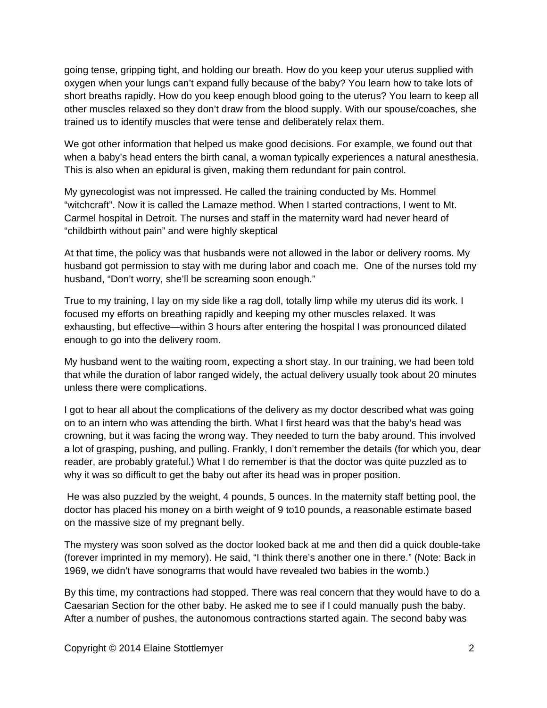going tense, gripping tight, and holding our breath. How do you keep your uterus supplied with oxygen when your lungs can't expand fully because of the baby? You learn how to take lots of short breaths rapidly. How do you keep enough blood going to the uterus? You learn to keep all other muscles relaxed so they don't draw from the blood supply. With our spouse/coaches, she trained us to identify muscles that were tense and deliberately relax them.

We got other information that helped us make good decisions. For example, we found out that when a baby's head enters the birth canal, a woman typically experiences a natural anesthesia. This is also when an epidural is given, making them redundant for pain control.

My gynecologist was not impressed. He called the training conducted by Ms. Hommel "witchcraft". Now it is called the Lamaze method. When I started contractions, I went to Mt. Carmel hospital in Detroit. The nurses and staff in the maternity ward had never heard of "childbirth without pain" and were highly skeptical

At that time, the policy was that husbands were not allowed in the labor or delivery rooms. My husband got permission to stay with me during labor and coach me. One of the nurses told my husband, "Don't worry, she'll be screaming soon enough."

True to my training, I lay on my side like a rag doll, totally limp while my uterus did its work. I focused my efforts on breathing rapidly and keeping my other muscles relaxed. It was exhausting, but effective—within 3 hours after entering the hospital I was pronounced dilated enough to go into the delivery room.

My husband went to the waiting room, expecting a short stay. In our training, we had been told that while the duration of labor ranged widely, the actual delivery usually took about 20 minutes unless there were complications.

I got to hear all about the complications of the delivery as my doctor described what was going on to an intern who was attending the birth. What I first heard was that the baby's head was crowning, but it was facing the wrong way. They needed to turn the baby around. This involved a lot of grasping, pushing, and pulling. Frankly, I don't remember the details (for which you, dear reader, are probably grateful.) What I do remember is that the doctor was quite puzzled as to why it was so difficult to get the baby out after its head was in proper position.

 He was also puzzled by the weight, 4 pounds, 5 ounces. In the maternity staff betting pool, the doctor has placed his money on a birth weight of 9 to10 pounds, a reasonable estimate based on the massive size of my pregnant belly.

The mystery was soon solved as the doctor looked back at me and then did a quick double-take (forever imprinted in my memory). He said, "I think there's another one in there." (Note: Back in 1969, we didn't have sonograms that would have revealed two babies in the womb.)

By this time, my contractions had stopped. There was real concern that they would have to do a Caesarian Section for the other baby. He asked me to see if I could manually push the baby. After a number of pushes, the autonomous contractions started again. The second baby was